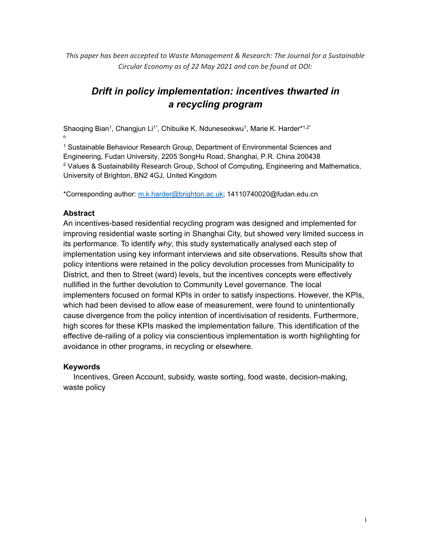*This paper has been accepted to Waste Management & Research: The Journal for a Sustainable Circular Economy as of 22 May 2021 and can be found at DOI:*

# *Drift in policy implementation: incentives thwarted in a recycling program*

Shaoqing Bian<sup>1</sup>, Changjun Li<sup>1\*</sup>, Chibuike K. Nduneseokwu<sup>1</sup>, Marie K. Harder<sup>\*1,2\*</sup> o

<sup>1</sup> Sustainable Behaviour Research Group, Department of Environmental Sciences and Engineering, Fudan University, 2205 SongHu Road, Shanghai, P.R. China 200438 <sup>2</sup> Values & Sustainability Research Group, School of Computing, Engineering and Mathematics, University of Brighton, BN2 4GJ, United Kingdom

\*Corresponding author: [m.k.harder@brighton.ac.uk;](mailto:m.k.harder@brighton.ac.uk) 14110740020@fudan.edu.cn

# **Abstract**

An incentives-based residential recycling program was designed and implemented for improving residential waste sorting in Shanghai City, but showed very limited success in its performance. To identify *why*, this study systematically analysed each step of implementation using key informant interviews and site observations. Results show that policy intentions were retained in the policy devolution processes from Municipality to District, and then to Street (ward) levels, but the incentives concepts were effectively nullified in the further devolution to Community Level governance. The local implementers focused on formal KPIs in order to satisfy inspections. However, the KPIs, which had been devised to allow ease of measurement, were found to unintentionally cause divergence from the policy intention of incentivisation of residents. Furthermore, high scores for these KPIs masked the implementation failure. This identification of the effective de-railing of a policy via conscientious implementation is worth highlighting for avoidance in other programs, in recycling or elsewhere.

# **Keywords**

Incentives, Green Account, subsidy, waste sorting, food waste, decision-making, waste policy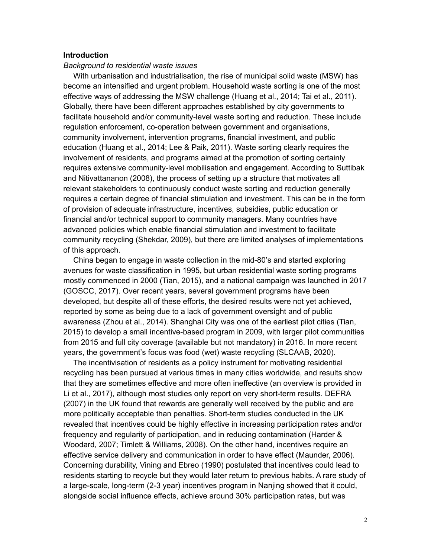## **Introduction**

#### *Background to residential waste issues*

With urbanisation and industrialisation, the rise of municipal solid waste (MSW) has become an intensified and urgent problem. Household waste sorting is one of the most effective ways of addressing the MSW challenge (Huang et al., 2014; Tai et al., 2011). Globally, there have been different approaches established by city governments to facilitate household and/or community-level waste sorting and reduction. These include regulation enforcement, co-operation between government and organisations, community involvement, intervention programs, financial investment, and public education (Huang et al., 2014; Lee & Paik, 2011). Waste sorting clearly requires the involvement of residents, and programs aimed at the promotion of sorting certainly requires extensive community-level mobilisation and engagement. According to Suttibak and Nitivattananon (2008), the process of setting up a structure that motivates all relevant stakeholders to continuously conduct waste sorting and reduction generally requires a certain degree of financial stimulation and investment. This can be in the form of provision of adequate infrastructure, incentives, subsidies, public education or financial and/or technical support to community managers. Many countries have advanced policies which enable financial stimulation and investment to facilitate community recycling (Shekdar, 2009), but there are limited analyses of implementations of this approach.

China began to engage in waste collection in the mid-80's and started exploring avenues for waste classification in 1995, but urban residential waste sorting programs mostly commenced in 2000 (Tian, 2015), and a national campaign was launched in 2017 (GOSCC, 2017). Over recent years, several government programs have been developed, but despite all of these efforts, the desired results were not yet achieved, reported by some as being due to a lack of government oversight and of public awareness (Zhou et al., 2014). Shanghai City was one of the earliest pilot cities (Tian, 2015) to develop a small incentive-based program in 2009, with larger pilot communities from 2015 and full city coverage (available but not mandatory) in 2016. In more recent years, the government's focus was food (wet) waste recycling (SLCAAB, 2020).

The incentivisation of residents as a policy instrument for motivating residential recycling has been pursued at various times in many cities worldwide, and results show that they are sometimes effective and more often ineffective (an overview is provided in Li et al., 2017), although most studies only report on very short-term results. DEFRA (2007) in the UK found that rewards are generally well received by the public and are more politically acceptable than penalties. Short-term studies conducted in the UK revealed that incentives could be highly effective in increasing participation rates and/or frequency and regularity of participation, and in reducing contamination (Harder & Woodard, 2007; Timlett & Williams, 2008). On the other hand, incentives require an effective service delivery and communication in order to have effect (Maunder, 2006). Concerning durability, Vining and Ebreo (1990) postulated that incentives could lead to residents starting to recycle but they would later return to previous habits. A rare study of a large-scale, long-term (2-3 year) incentives program in Nanjing showed that it could, alongside social influence effects, achieve around 30% participation rates, but was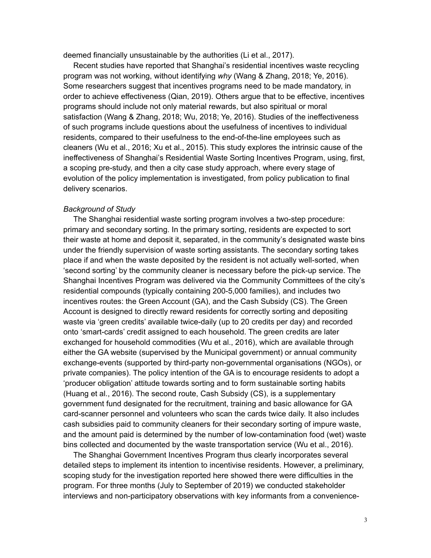deemed financially unsustainable by the authorities (Li et al., 2017).

Recent studies have reported that Shanghai's residential incentives waste recycling program was not working, without identifying *why* (Wang & Zhang, 2018; Ye, 2016). Some researchers suggest that incentives programs need to be made mandatory, in order to achieve effectiveness (Qian, 2019). Others argue that to be effective, incentives programs should include not only material rewards, but also spiritual or moral satisfaction (Wang & Zhang, 2018; Wu, 2018; Ye, 2016). Studies of the ineffectiveness of such programs include questions about the usefulness of incentives to individual residents, compared to their usefulness to the end-of-the-line employees such as cleaners (Wu et al., 2016; Xu et al., 2015). This study explores the intrinsic cause of the ineffectiveness of Shanghai's Residential Waste Sorting Incentives Program, using, first, a scoping pre-study, and then a city case study approach, where every stage of evolution of the policy implementation is investigated, from policy publication to final delivery scenarios.

# *Background of Study*

The Shanghai residential waste sorting program involves a two-step procedure: primary and secondary sorting. In the primary sorting, residents are expected to sort their waste at home and deposit it, separated, in the community's designated waste bins under the friendly supervision of waste sorting assistants. The secondary sorting takes place if and when the waste deposited by the resident is not actually well-sorted, when 'second sorting' by the community cleaner is necessary before the pick-up service. The Shanghai Incentives Program was delivered via the Community Committees of the city's residential compounds (typically containing 200-5,000 families), and includes two incentives routes: the Green Account (GA), and the Cash Subsidy (CS). The Green Account is designed to directly reward residents for correctly sorting and depositing waste via 'green credits' available twice-daily (up to 20 credits per day) and recorded onto 'smart-cards' credit assigned to each household. The green credits are later exchanged for household commodities (Wu et al., 2016), which are available through either the GA website (supervised by the Municipal government) or annual community exchange-events (supported by third-party non-governmental organisations (NGOs), or private companies). The policy intention of the GA is to encourage residents to adopt a 'producer obligation' attitude towards sorting and to form sustainable sorting habits (Huang et al., 2016). The second route, Cash Subsidy (CS), is a supplementary government fund designated for the recruitment, training and basic allowance for GA card-scanner personnel and volunteers who scan the cards twice daily. It also includes cash subsidies paid to community cleaners for their secondary sorting of impure waste, and the amount paid is determined by the number of low-contamination food (wet) waste bins collected and documented by the waste transportation service (Wu et al., 2016).

The Shanghai Government Incentives Program thus clearly incorporates several detailed steps to implement its intention to incentivise residents. However, a preliminary, scoping study for the investigation reported here showed there were difficulties in the program. For three months (July to September of 2019) we conducted stakeholder interviews and non-participatory observations with key informants from a convenience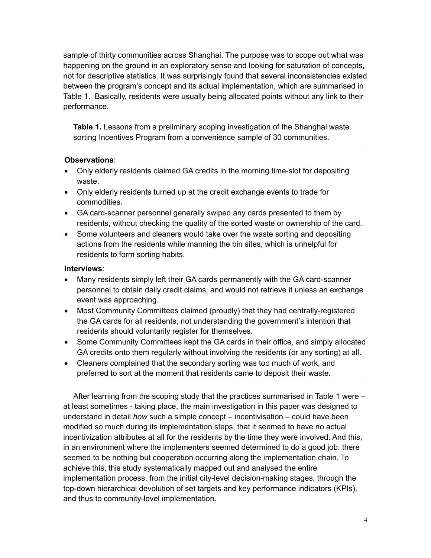sample of thirty communities across Shanghai. The purpose was to scope out what was happening on the ground in an exploratory sense and looking for saturation of concepts, not for descriptive statistics. It was surprisingly found that several inconsistencies existed between the program's concept and its actual implementation, which are summarised in Table 1. Basically, residents were usually being allocated points without any link to their performance.

**Table 1.** Lessons from a preliminary scoping investigation of the Shanghai waste sorting Incentives Program from a convenience sample of 30 communities.

# **Observations**:

- Only elderly residents claimed GA credits in the morning time-slot for depositing waste.
- Only elderly residents turned up at the credit exchange events to trade for commodities.
- GA card-scanner personnel generally swiped any cards presented to them by residents, without checking the quality of the sorted waste or ownership of the card.
- Some volunteers and cleaners would take over the waste sorting and depositing actions from the residents while manning the bin sites, which is unhelpful for residents to form sorting habits.

# **Interviews**:

- Many residents simply left their GA cards permanently with the GA card-scanner personnel to obtain daily credit claims, and would not retrieve it unless an exchange event was approaching.
- Most Community Committees claimed (proudly) that they had centrally-registered the GA cards for all residents, not understanding the government's intention that residents should voluntarily register for themselves.
- Some Community Committees kept the GA cards in their office, and simply allocated GA credits onto them regularly without involving the residents (or any sorting) at all.
- Cleaners complained that the secondary sorting was too much of work, and preferred to sort at the moment that residents came to deposit their waste.

After learning from the scoping study that the practices summarised in Table 1 were – at least sometimes - taking place, the main investigation in this paper was designed to understand in detail *how* such a simple concept – incentivisation – could have been modified so much during its implementation steps, that it seemed to have no actual incentivization attributes at all for the residents by the time they were involved. And this, in an environment where the implementers seemed determined to do a good job: there seemed to be nothing but cooperation occurring along the implementation chain. To achieve this, this study systematically mapped out and analysed the entire implementation process, from the initial city-level decision-making stages, through the top-down hierarchical devolution of set targets and key performance indicators (KPIs), and thus to community-level implementation.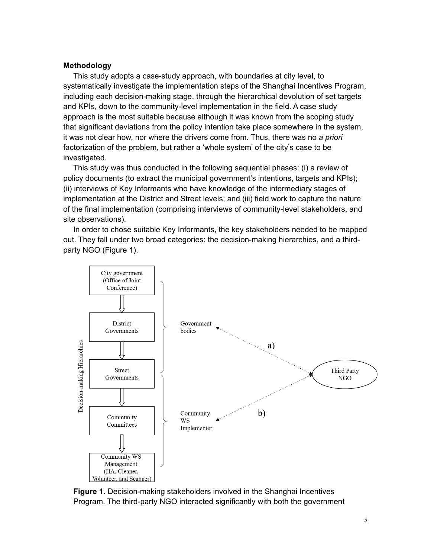## **Methodology**

This study adopts a case-study approach, with boundaries at city level, to systematically investigate the implementation steps of the Shanghai Incentives Program, including each decision-making stage, through the hierarchical devolution of set targets and KPIs, down to the community-level implementation in the field. A case study approach is the most suitable because although it was known from the scoping study that significant deviations from the policy intention take place somewhere in the system, it was not clear how, nor where the drivers come from. Thus, there was no *a priori* factorization of the problem, but rather a 'whole system' of the city's case to be investigated.

This study was thus conducted in the following sequential phases: (i) a review of policy documents (to extract the municipal government's intentions, targets and KPIs); (ii) interviews of Key Informants who have knowledge of the intermediary stages of implementation at the District and Street levels; and (iii) field work to capture the nature of the final implementation (comprising interviews of community-level stakeholders, and site observations).

In order to chose suitable Key Informants, the key stakeholders needed to be mapped out. They fall under two broad categories: the decision-making hierarchies, and a thirdparty NGO (Figure 1).



**Figure 1.** Decision-making stakeholders involved in the Shanghai Incentives Program. The third-party NGO interacted significantly with both the government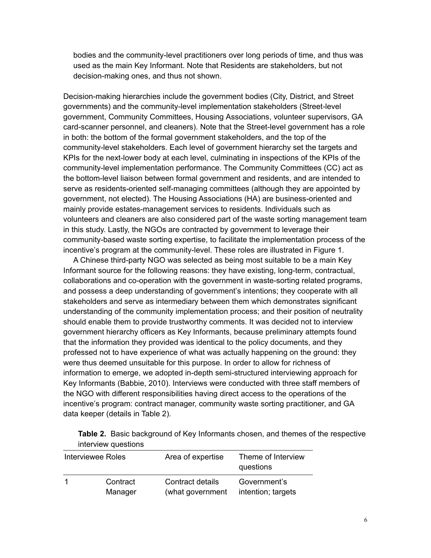bodies and the community-level practitioners over long periods of time, and thus was used as the main Key Informant. Note that Residents are stakeholders, but not decision-making ones, and thus not shown.

Decision-making hierarchies include the government bodies (City, District, and Street governments) and the community-level implementation stakeholders (Street-level government, Community Committees, Housing Associations, volunteer supervisors, GA card-scanner personnel, and cleaners). Note that the Street-level government has a role in both: the bottom of the formal government stakeholders, and the top of the community-level stakeholders. Each level of government hierarchy set the targets and KPIs for the next-lower body at each level, culminating in inspections of the KPIs of the community-level implementation performance. The Community Committees (CC) act as the bottom-level liaison between formal government and residents, and are intended to serve as residents-oriented self-managing committees (although they are appointed by government, not elected). The Housing Associations (HA) are business-oriented and mainly provide estates-management services to residents. Individuals such as volunteers and cleaners are also considered part of the waste sorting management team in this study. Lastly, the NGOs are contracted by government to leverage their community-based waste sorting expertise, to facilitate the implementation process of the incentive's program at the community-level. These roles are illustrated in Figure 1.

A Chinese third-party NGO was selected as being most suitable to be a main Key Informant source for the following reasons: they have existing, long-term, contractual, collaborations and co-operation with the government in waste-sorting related programs, and possess a deep understanding of government's intentions; they cooperate with all stakeholders and serve as intermediary between them which demonstrates significant understanding of the community implementation process; and their position of neutrality should enable them to provide trustworthy comments. It was decided not to interview government hierarchy officers as Key Informants, because preliminary attempts found that the information they provided was identical to the policy documents, and they professed not to have experience of what was actually happening on the ground: they were thus deemed unsuitable for this purpose. In order to allow for richness of information to emerge, we adopted in-depth semi-structured interviewing approach for Key Informants (Babbie, 2010). Interviews were conducted with three staff members of the NGO with different responsibilities having direct access to the operations of the incentive's program: contract manager, community waste sorting practitioner, and GA data keeper (details in Table 2).

| <b>Table 2.</b> Basic background of Key Informants chosen, and themes of the respective |  |  |
|-----------------------------------------------------------------------------------------|--|--|
| interview questions                                                                     |  |  |

| Interviewee Roles |          | Area of expertise | Theme of Interview<br>questions |
|-------------------|----------|-------------------|---------------------------------|
|                   | Contract | Contract details  | Government's                    |
|                   | Manager  | (what government  | intention; targets              |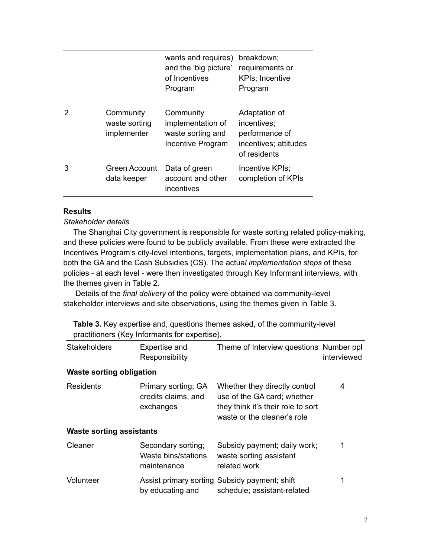|   |                                           | wants and requires)<br>and the 'big picture'<br>of Incentives<br>Program | breakdown:<br>requirements or<br>KPIs; Incentive<br>Program                             |
|---|-------------------------------------------|--------------------------------------------------------------------------|-----------------------------------------------------------------------------------------|
| 2 | Community<br>waste sorting<br>implementer | Community<br>implementation of<br>waste sorting and<br>Incentive Program | Adaptation of<br>incentives;<br>performance of<br>incentives; attitudes<br>of residents |
| 3 | Green Account<br>data keeper              | Data of green<br>account and other<br>incentives                         | Incentive KPIs;<br>completion of KPIs                                                   |

# **Results**

## *Stakeholder details*

The Shanghai City government is responsible for waste sorting related policy-making, and these policies were found to be publicly available. From these were extracted the Incentives Program's city-level intentions, targets, implementation plans, and KPIs, for both the GA and the Cash Subsidies (CS). The actua*l implementation steps* of these policies - at each level - were then investigated through Key Informant interviews, with the themes given in Table 2.

Details of the *final delivery* of the policy were obtained via community-level stakeholder interviews and site observations, using the themes given in Table 3.

| <b>Stakeholders</b>             | Expertise and<br>Responsibility                          | Theme of Interview questions Number ppl                                                                                           | interviewed |
|---------------------------------|----------------------------------------------------------|-----------------------------------------------------------------------------------------------------------------------------------|-------------|
| <b>Waste sorting obligation</b> |                                                          |                                                                                                                                   |             |
| Residents                       | Primary sorting; GA<br>credits claims, and<br>exchanges  | Whether they directly control<br>use of the GA card; whether<br>they think it's their role to sort<br>waste or the cleaner's role | 4           |
| <b>Waste sorting assistants</b> |                                                          |                                                                                                                                   |             |
| Cleaner                         | Secondary sorting;<br>Waste bins/stations<br>maintenance | Subsidy payment; daily work;<br>waste sorting assistant<br>related work                                                           | 1           |
| Volunteer                       | by educating and                                         | Assist primary sorting Subsidy payment; shift<br>schedule; assistant-related                                                      | 1           |

**Table 3.** Key expertise and, questions themes asked, of the community-level practitioners (Key Informants for expertise).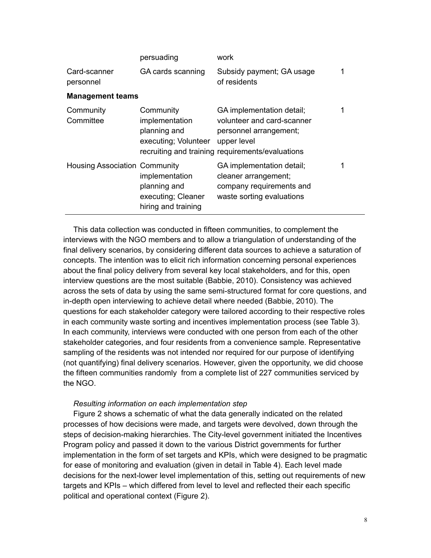|                                      | persuading                                                                  | work                                                                                                                                                 |   |
|--------------------------------------|-----------------------------------------------------------------------------|------------------------------------------------------------------------------------------------------------------------------------------------------|---|
| Card-scanner<br>personnel            | GA cards scanning                                                           | Subsidy payment; GA usage<br>of residents                                                                                                            | 1 |
| <b>Management teams</b>              |                                                                             |                                                                                                                                                      |   |
| Community<br>Committee               | Community<br>implementation<br>planning and<br>executing; Volunteer         | GA implementation detail;<br>volunteer and card-scanner<br>personnel arrangement;<br>upper level<br>recruiting and training requirements/evaluations |   |
| <b>Housing Association Community</b> | implementation<br>planning and<br>executing; Cleaner<br>hiring and training | GA implementation detail;<br>cleaner arrangement;<br>company requirements and<br>waste sorting evaluations                                           | 1 |

This data collection was conducted in fifteen communities, to complement the interviews with the NGO members and to allow a triangulation of understanding of the final delivery scenarios, by considering different data sources to achieve a saturation of concepts. The intention was to elicit rich information concerning personal experiences about the final policy delivery from several key local stakeholders, and for this, open interview questions are the most suitable (Babbie, 2010). Consistency was achieved across the sets of data by using the same semi-structured format for core questions, and in-depth open interviewing to achieve detail where needed (Babbie, 2010). The questions for each stakeholder category were tailored according to their respective roles in each community waste sorting and incentives implementation process (see Table 3). In each community, interviews were conducted with one person from each of the other stakeholder categories, and four residents from a convenience sample. Representative sampling of the residents was not intended nor required for our purpose of identifying (not quantifying) final delivery scenarios. However, given the opportunity, we did choose the fifteen communities randomly from a complete list of 227 communities serviced by the NGO.

## *Resulting information on each implementation step*

Figure 2 shows a schematic of what the data generally indicated on the related processes of how decisions were made, and targets were devolved, down through the steps of decision-making hierarchies. The City-level government initiated the Incentives Program policy and passed it down to the various District governments for further implementation in the form of set targets and KPIs, which were designed to be pragmatic for ease of monitoring and evaluation (given in detail in Table 4). Each level made decisions for the next-lower level implementation of this, setting out requirements of new targets and KPIs – which differed from level to level and reflected their each specific political and operational context (Figure 2).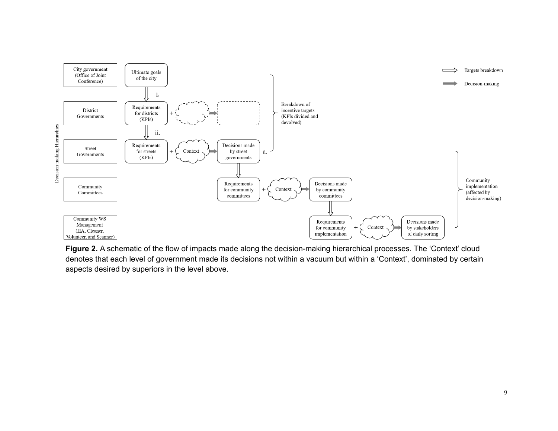

**Figure 2.** A schematic of the flow of impacts made along the decision-making hierarchical processes. The 'Context' cloud denotes that each level of government made its decisions not within a vacuum but within a 'Context', dominated by certain aspects desired by superiors in the level above.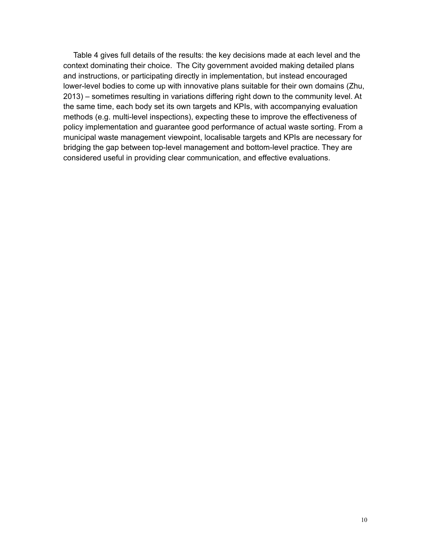Table 4 gives full details of the results: the key decisions made at each level and the context dominating their choice. The City government avoided making detailed plans and instructions, or participating directly in implementation, but instead encouraged lower-level bodies to come up with innovative plans suitable for their own domains (Zhu, 2013) – sometimes resulting in variations differing right down to the community level. At the same time, each body set its own targets and KPIs, with accompanying evaluation methods (e.g. multi-level inspections), expecting these to improve the effectiveness of policy implementation and guarantee good performance of actual waste sorting. From a municipal waste management viewpoint, localisable targets and KPIs are necessary for bridging the gap between top-level management and bottom-level practice. They are considered useful in providing clear communication, and effective evaluations.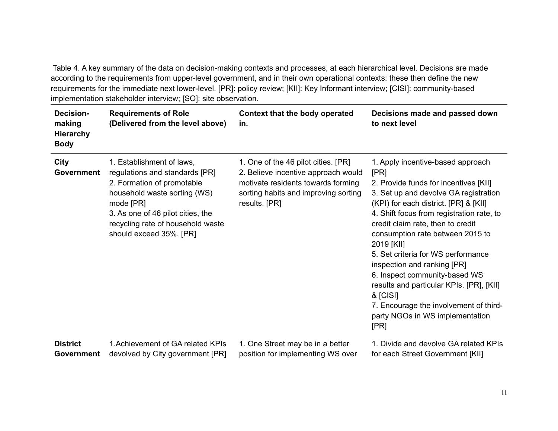Table 4. A key summary of the data on decision-making contexts and processes, at each hierarchical level. Decisions are made according to the requirements from upper-level government, and in their own operational contexts: these then define the new requirements for the immediate next lower-level. [PR]: policy review; [KII]: Key Informant interview; [CISI]: community-based implementation stakeholder interview; [SO]: site observation.

| Decision-<br>making<br><b>Hierarchy</b><br><b>Body</b> | <b>Requirements of Role</b><br>(Delivered from the level above)                                                                                                                                                                             | Context that the body operated<br>in.                                                                                                                                     | Decisions made and passed down<br>to next level                                                                                                                                                                                                                                                                                                                                                                                                                                                                                                             |
|--------------------------------------------------------|---------------------------------------------------------------------------------------------------------------------------------------------------------------------------------------------------------------------------------------------|---------------------------------------------------------------------------------------------------------------------------------------------------------------------------|-------------------------------------------------------------------------------------------------------------------------------------------------------------------------------------------------------------------------------------------------------------------------------------------------------------------------------------------------------------------------------------------------------------------------------------------------------------------------------------------------------------------------------------------------------------|
| City<br><b>Government</b>                              | 1. Establishment of laws,<br>regulations and standards [PR]<br>2. Formation of promotable<br>household waste sorting (WS)<br>mode [PR]<br>3. As one of 46 pilot cities, the<br>recycling rate of household waste<br>should exceed 35%. [PR] | 1. One of the 46 pilot cities. [PR]<br>2. Believe incentive approach would<br>motivate residents towards forming<br>sorting habits and improving sorting<br>results. [PR] | 1. Apply incentive-based approach<br>[PR]<br>2. Provide funds for incentives [KII]<br>3. Set up and devolve GA registration<br>(KPI) for each district. [PR] & [KII]<br>4. Shift focus from registration rate, to<br>credit claim rate, then to credit<br>consumption rate between 2015 to<br>2019 [KII]<br>5. Set criteria for WS performance<br>inspection and ranking [PR]<br>6. Inspect community-based WS<br>results and particular KPIs. [PR], [KII]<br>& [CISI]<br>7. Encourage the involvement of third-<br>party NGOs in WS implementation<br>[PR] |
| <b>District</b><br><b>Government</b>                   | 1. Achievement of GA related KPIs<br>devolved by City government [PR]                                                                                                                                                                       | 1. One Street may be in a better<br>position for implementing WS over                                                                                                     | 1. Divide and devolve GA related KPIs<br>for each Street Government [KII]                                                                                                                                                                                                                                                                                                                                                                                                                                                                                   |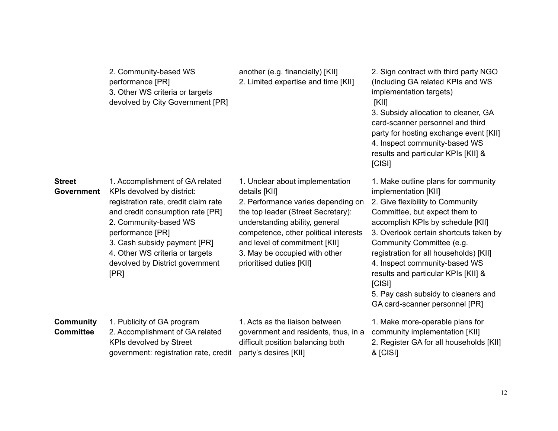|                               | 2. Community-based WS<br>performance [PR]<br>3. Other WS criteria or targets<br>devolved by City Government [PR]                                                                                                                                                                                     | another (e.g. financially) [KII]<br>2. Limited expertise and time [KII]                                                                                                                                                                                                                               | 2. Sign contract with third party NGO<br>(Including GA related KPIs and WS)<br>implementation targets)<br>[KII]<br>3. Subsidy allocation to cleaner, GA<br>card-scanner personnel and third<br>party for hosting exchange event [KII]<br>4. Inspect community-based WS<br>results and particular KPIs [KII] &<br>[CIS]                                                                                                                            |
|-------------------------------|------------------------------------------------------------------------------------------------------------------------------------------------------------------------------------------------------------------------------------------------------------------------------------------------------|-------------------------------------------------------------------------------------------------------------------------------------------------------------------------------------------------------------------------------------------------------------------------------------------------------|---------------------------------------------------------------------------------------------------------------------------------------------------------------------------------------------------------------------------------------------------------------------------------------------------------------------------------------------------------------------------------------------------------------------------------------------------|
| <b>Street</b><br>Government   | 1. Accomplishment of GA related<br>KPIs devolved by district:<br>registration rate, credit claim rate<br>and credit consumption rate [PR]<br>2. Community-based WS<br>performance [PR]<br>3. Cash subsidy payment [PR]<br>4. Other WS criteria or targets<br>devolved by District government<br>[PR] | 1. Unclear about implementation<br>details [KII]<br>2. Performance varies depending on<br>the top leader (Street Secretary):<br>understanding ability, general<br>competence, other political interests<br>and level of commitment [KII]<br>3. May be occupied with other<br>prioritised duties [KII] | 1. Make outline plans for community<br>implementation [KII]<br>2. Give flexibility to Community<br>Committee, but expect them to<br>accomplish KPIs by schedule [KII]<br>3. Overlook certain shortcuts taken by<br>Community Committee (e.g.<br>registration for all households) [KII]<br>4. Inspect community-based WS<br>results and particular KPIs [KII] &<br>[CISI]<br>5. Pay cash subsidy to cleaners and<br>GA card-scanner personnel [PR] |
| Community<br><b>Committee</b> | 1. Publicity of GA program<br>2. Accomplishment of GA related<br><b>KPIs devolved by Street</b><br>government: registration rate, credit                                                                                                                                                             | 1. Acts as the liaison between<br>government and residents, thus, in a<br>difficult position balancing both<br>party's desires [KII]                                                                                                                                                                  | 1. Make more-operable plans for<br>community implementation [KII]<br>2. Register GA for all households [KII]<br>& [CISI]                                                                                                                                                                                                                                                                                                                          |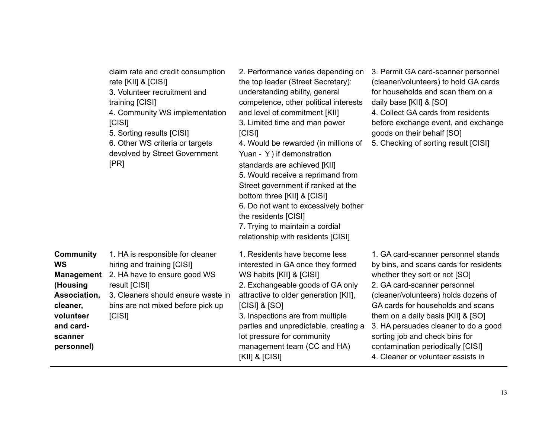|                                                                                                                                        | claim rate and credit consumption<br>rate [KII] & [CISI]<br>3. Volunteer recruitment and<br>training [CISI]<br>4. Community WS implementation<br>[CISI]<br>5. Sorting results [CISI]<br>6. Other WS criteria or targets<br>devolved by Street Government<br>[PR] | 2. Performance varies depending on<br>the top leader (Street Secretary):<br>understanding ability, general<br>competence, other political interests<br>and level of commitment [KII]<br>3. Limited time and man power<br> C <br>4. Would be rewarded (in millions of<br>Yuan - $Y$ ) if demonstration<br>standards are achieved [KII]<br>5. Would receive a reprimand from<br>Street government if ranked at the<br>bottom three [KII] & [CISI]<br>6. Do not want to excessively bother<br>the residents [CISI]<br>7. Trying to maintain a cordial<br>relationship with residents [CISI] | 3. Permit GA card-scanner personnel<br>(cleaner/volunteers) to hold GA cards<br>for households and scan them on a<br>daily base [KII] & [SO]<br>4. Collect GA cards from residents<br>before exchange event, and exchange<br>goods on their behalf [SO]<br>5. Checking of sorting result [CISI]                                                                                                                        |
|----------------------------------------------------------------------------------------------------------------------------------------|------------------------------------------------------------------------------------------------------------------------------------------------------------------------------------------------------------------------------------------------------------------|------------------------------------------------------------------------------------------------------------------------------------------------------------------------------------------------------------------------------------------------------------------------------------------------------------------------------------------------------------------------------------------------------------------------------------------------------------------------------------------------------------------------------------------------------------------------------------------|------------------------------------------------------------------------------------------------------------------------------------------------------------------------------------------------------------------------------------------------------------------------------------------------------------------------------------------------------------------------------------------------------------------------|
| <b>Community</b><br>WS<br><b>Management</b><br>(Housing<br>Association,<br>cleaner,<br>volunteer<br>and card-<br>scanner<br>personnel) | 1. HA is responsible for cleaner<br>hiring and training [CISI]<br>2. HA have to ensure good WS<br>result [CISI]<br>3. Cleaners should ensure waste in<br>bins are not mixed before pick up<br>[CIS]                                                              | 1. Residents have become less<br>interested in GA once they formed<br>WS habits [KII] & [CISI]<br>2. Exchangeable goods of GA only<br>attractive to older generation [KII],<br>[CISI] & [SO]<br>3. Inspections are from multiple<br>parties and unpredictable, creating a<br>lot pressure for community<br>management team (CC and HA)<br>$[KII]$ & $[CISI]$                                                                                                                                                                                                                             | 1. GA card-scanner personnel stands<br>by bins, and scans cards for residents<br>whether they sort or not [SO]<br>2. GA card-scanner personnel<br>(cleaner/volunteers) holds dozens of<br>GA cards for households and scans<br>them on a daily basis [KII] & [SO]<br>3. HA persuades cleaner to do a good<br>sorting job and check bins for<br>contamination periodically [CISI]<br>4. Cleaner or volunteer assists in |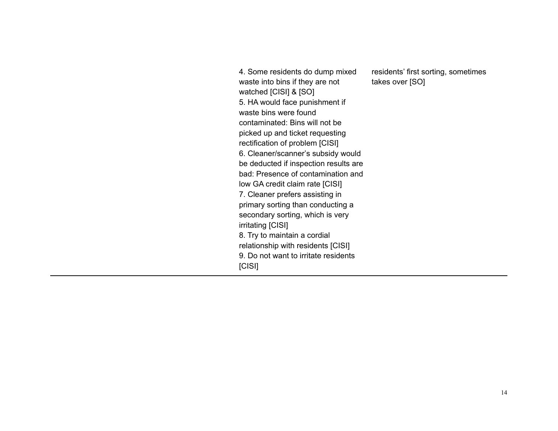4. Some residents do dump mixed waste into bins if they are not watched [CISI] & [SO] 5. HA would face punishment if waste bins were found contaminated: Bins will not be picked up and ticket requesting rectification of problem [CISI] 6. Cleaner/scanner's subsidy would be deducted if inspection results are bad: Presence of contamination and low GA credit claim rate [CISI] 7. Cleaner prefers assisting in primary sorting than conducting a secondary sorting, which is very irritating [CISI] 8. Try to maintain a cordial relationship with residents [CISI] 9. Do not want to irritate residents [CISI]

residents' first sorting, sometimes takes over [SO]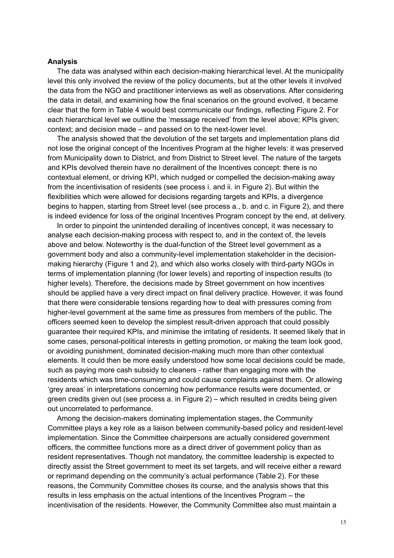## **Analysis**

The data was analysed within each decision-making hierarchical level. At the municipality level this only involved the review of the policy documents, but at the other levels it involved the data from the NGO and practitioner interviews as well as observations. After considering the data in detail, and examining how the final scenarios on the ground evolved, it became clear that the form in Table 4 would best communicate our findings, reflecting Figure 2. For each hierarchical level we outline the 'message received' from the level above; KPIs given; context; and decision made – and passed on to the next-lower level.

The analysis showed that the devolution of the set targets and implementation plans did not lose the original concept of the Incentives Program at the higher levels: it was preserved from Municipality down to District, and from District to Street level. The nature of the targets and KPIs devolved therein have no derailment of the Incentives concept: there is no contextual element, or driving KPI, which nudged or compelled the decision-making away from the incentivisation of residents (see process i. and ii. in Figure 2). But within the flexibilities which were allowed for decisions regarding targets and KPIs, a divergence begins to happen, starting from Street level (see process a., b. and c. in Figure 2), and there is indeed evidence for loss of the original Incentives Program concept by the end, at delivery.

In order to pinpoint the unintended derailing of incentives concept, it was necessary to analyse each decision-making process with respect to, and in the context of, the levels above and below. Noteworthy is the dual-function of the Street level government as a government body and also a community-level implementation stakeholder in the decisionmaking hierarchy (Figure 1 and 2), and which also works closely with third-party NGOs in terms of implementation planning (for lower levels) and reporting of inspection results (to higher levels). Therefore, the decisions made by Street government on how incentives should be applied have a very direct impact on final delivery practice. However, it was found that there were considerable tensions regarding how to deal with pressures coming from higher-level government at the same time as pressures from members of the public. The officers seemed keen to develop the simplest result-driven approach that could possibly guarantee their required KPIs, and minimise the irritating of residents. It seemed likely that in some cases, personal-political interests in getting promotion, or making the team look good, or avoiding punishment, dominated decision-making much more than other contextual elements. It could then be more easily understood how some local decisions could be made, such as paying more cash subsidy to cleaners - rather than engaging more with the residents which was time-consuming and could cause complaints against them. Or allowing 'grey areas' in interpretations concerning how performance results were documented, or green credits given out (see process a. in Figure 2) – which resulted in credits being given out uncorrelated to performance.

Among the decision-makers dominating implementation stages, the Community Committee plays a key role as a liaison between community-based policy and resident-level implementation. Since the Committee chairpersons are actually considered government officers, the committee functions more as a direct driver of government policy than as resident representatives. Though not mandatory, the committee leadership is expected to directly assist the Street government to meet its set targets, and will receive either a reward or reprimand depending on the community's actual performance (Table 2). For these reasons, the Community Committee choses its course, and the analysis shows that this results in less emphasis on the actual intentions of the Incentives Program – the incentivisation of the residents. However, the Community Committee also must maintain a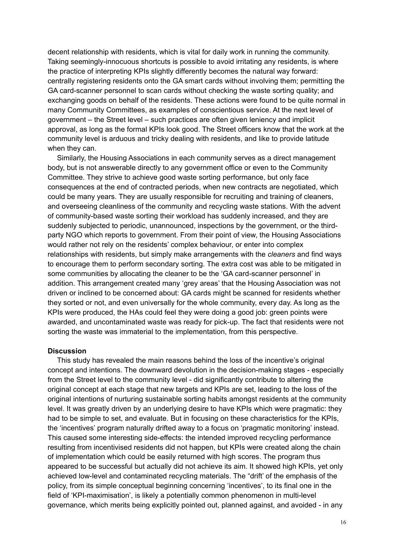decent relationship with residents, which is vital for daily work in running the community. Taking seemingly-innocuous shortcuts is possible to avoid irritating any residents, is where the practice of interpreting KPIs slightly differently becomes the natural way forward: centrally registering residents onto the GA smart cards without involving them; permitting the GA card-scanner personnel to scan cards without checking the waste sorting quality; and exchanging goods on behalf of the residents. These actions were found to be quite normal in many Community Committees, as examples of conscientious service. At the next level of government – the Street level – such practices are often given leniency and implicit approval, as long as the formal KPIs look good. The Street officers know that the work at the community level is arduous and tricky dealing with residents, and like to provide latitude when they can.

Similarly, the Housing Associations in each community serves as a direct management body, but is not answerable directly to any government office or even to the Community Committee. They strive to achieve good waste sorting performance, but only face consequences at the end of contracted periods, when new contracts are negotiated, which could be many years. They are usually responsible for recruiting and training of cleaners, and overseeing cleanliness of the community and recycling waste stations. With the advent of community-based waste sorting their workload has suddenly increased, and they are suddenly subjected to periodic, unannounced, inspections by the government, or the thirdparty NGO which reports to government. From their point of view, the Housing Associations would rather not rely on the residents' complex behaviour, or enter into complex relationships with residents, but simply make arrangements with the *cleaners* and find ways to encourage them to perform secondary sorting. The extra cost was able to be mitigated in some communities by allocating the cleaner to be the 'GA card-scanner personnel' in addition. This arrangement created many 'grey areas' that the Housing Association was not driven or inclined to be concerned about: GA cards might be scanned for residents whether they sorted or not, and even universally for the whole community, every day. As long as the KPIs were produced, the HAs could feel they were doing a good job: green points were awarded, and uncontaminated waste was ready for pick-up. The fact that residents were not sorting the waste was immaterial to the implementation, from this perspective.

#### **Discussion**

This study has revealed the main reasons behind the loss of the incentive's original concept and intentions. The downward devolution in the decision-making stages - especially from the Street level to the community level - did significantly contribute to altering the original concept at each stage that new targets and KPIs are set, leading to the loss of the original intentions of nurturing sustainable sorting habits amongst residents at the community level. It was greatly driven by an underlying desire to have KPIs which were pragmatic: they had to be simple to set, and evaluate. But in focusing on these characteristics for the KPIs, the 'incentives' program naturally drifted away to a focus on 'pragmatic monitoring' instead. This caused some interesting side-effects: the intended improved recycling performance resulting from incentivised residents did not happen, but KPIs were created along the chain of implementation which could be easily returned with high scores. The program thus appeared to be successful but actually did not achieve its aim. It showed high KPIs, yet only achieved low-level and contaminated recycling materials. The "drift' of the emphasis of the policy, from its simple conceptual beginning concerning 'incentives', to its final one in the field of 'KPI-maximisation', is likely a potentially common phenomenon in multi-level governance, which merits being explicitly pointed out, planned against, and avoided - in any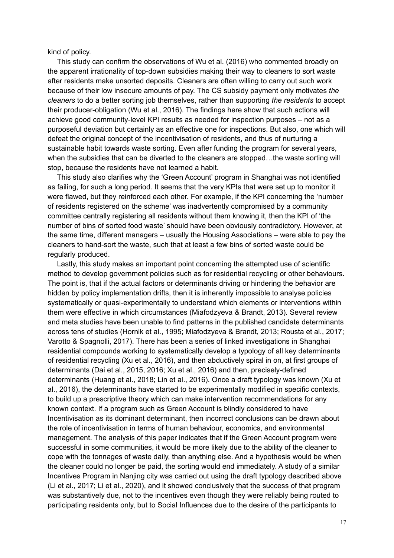kind of policy.

This study can confirm the observations of Wu et al. (2016) who commented broadly on the apparent irrationality of top-down subsidies making their way to cleaners to sort waste after residents make unsorted deposits. Cleaners are often willing to carry out such work because of their low insecure amounts of pay. The CS subsidy payment only motivates *the cleaners* to do a better sorting job themselves, rather than supporting *the residents* to accept their producer-obligation (Wu et al., 2016). The findings here show that such actions will achieve good community-level KPI results as needed for inspection purposes – not as a purposeful deviation but certainly as an effective one for inspections. But also, one which will defeat the original concept of the incentivisation of residents, and thus of nurturing a sustainable habit towards waste sorting. Even after funding the program for several years, when the subsidies that can be diverted to the cleaners are stopped...the waste sorting will stop, because the residents have not learned a habit.

This study also clarifies why the 'Green Account' program in Shanghai was not identified as failing, for such a long period. It seems that the very KPIs that were set up to monitor it were flawed, but they reinforced each other. For example, if the KPI concerning the 'number of residents registered on the scheme' was inadvertently compromised by a community committee centrally registering all residents without them knowing it, then the KPI of 'the number of bins of sorted food waste' should have been obviously contradictory. However, at the same time, different managers – usually the Housing Associations – were able to pay the cleaners to hand-sort the waste, such that at least a few bins of sorted waste could be regularly produced.

Lastly, this study makes an important point concerning the attempted use of scientific method to develop government policies such as for residential recycling or other behaviours. The point is, that if the actual factors or determinants driving or hindering the behavior are hidden by policy implementation drifts, then it is inherently impossible to analyse policies systematically or quasi-experimentally to understand which elements or interventions within them were effective in which circumstances (Miafodzyeva & Brandt, 2013). Several review and meta studies have been unable to find patterns in the published candidate determinants across tens of studies (Hornik et al., 1995; Miafodzyeva & Brandt, 2013; Rousta et al., 2017; Varotto & Spagnolli, 2017). There has been a series of linked investigations in Shanghai residential compounds working to systematically develop a typology of all key determinants of residential recycling (Xu et al., 2016), and then abductively spiral in on, at first groups of determinants (Dai et al., 2015, 2016; Xu et al., 2016) and then, precisely-defined determinants (Huang et al., 2018; Lin et al., 2016). Once a draft typology was known (Xu et al., 2016), the determinants have started to be experimentally modified in specific contexts, to build up a prescriptive theory which can make intervention recommendations for any known context. If a program such as Green Account is blindly considered to have Incentivisation as its dominant determinant, then incorrect conclusions can be drawn about the role of incentivisation in terms of human behaviour, economics, and environmental management. The analysis of this paper indicates that if the Green Account program were successful in some communities, it would be more likely due to the ability of the cleaner to cope with the tonnages of waste daily, than anything else. And a hypothesis would be when the cleaner could no longer be paid, the sorting would end immediately. A study of a similar Incentives Program in Nanjing city was carried out using the draft typology described above (Li et al., 2017; Li et al., 2020), and it showed conclusively that the success of that program was substantively due, not to the incentives even though they were reliably being routed to participating residents only, but to Social Influences due to the desire of the participants to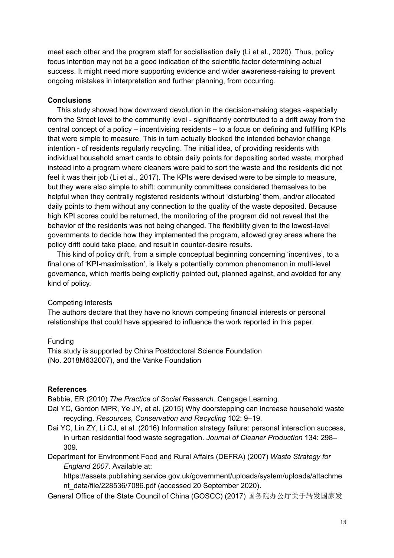meet each other and the program staff for socialisation daily (Li et al., 2020). Thus, policy focus intention may not be a good indication of the scientific factor determining actual success. It might need more supporting evidence and wider awareness-raising to prevent ongoing mistakes in interpretation and further planning, from occurring.

# **Conclusions**

This study showed how downward devolution in the decision-making stages -especially from the Street level to the community level - significantly contributed to a drift away from the central concept of a policy – incentivising residents – to a focus on defining and fulfilling KPIs that were simple to measure. This in turn actually blocked the intended behavior change intention - of residents regularly recycling. The initial idea, of providing residents with individual household smart cards to obtain daily points for depositing sorted waste, morphed instead into a program where cleaners were paid to sort the waste and the residents did not feel it was their job (Li et al., 2017). The KPIs were devised were to be simple to measure, but they were also simple to shift: community committees considered themselves to be helpful when they centrally registered residents without 'disturbing' them, and/or allocated daily points to them without any connection to the quality of the waste deposited. Because high KPI scores could be returned, the monitoring of the program did not reveal that the behavior of the residents was not being changed. The flexibility given to the lowest-level governments to decide how they implemented the program, allowed grey areas where the policy drift could take place, and result in counter-desire results.

This kind of policy drift, from a simple conceptual beginning concerning 'incentives', to a final one of 'KPI-maximisation', is likely a potentially common phenomenon in multi-level governance, which merits being explicitly pointed out, planned against, and avoided for any kind of policy.

# Competing interests

The authors declare that they have no known competing financial interests or personal relationships that could have appeared to influence the work reported in this paper.

# Funding

This study is supported by China Postdoctoral Science Foundation (No. 2018M632007), and the Vanke Foundation

# **References**

Babbie, ER (2010) *The Practice of Social Research*. Cengage Learning.

- Dai YC, Gordon MPR, Ye JY, et al. (2015) Why doorstepping can increase household waste recycling. *Resources, Conservation and Recycling* 102: 9–19.
- Dai YC, Lin ZY, Li CJ, et al. (2016) Information strategy failure: personal interaction success, in urban residential food waste segregation. *Journal of Cleaner Production* 134: 298– 309.
- Department for Environment Food and Rural Affairs (DEFRA) (2007) *Waste Strategy for England 2007*. Available at:

https://assets.publishing.service.gov.uk/government/uploads/system/uploads/attachme nt\_data/file/228536/7086.pdf (accessed 20 September 2020).

General Office of the State Council of China (GOSCC) (2017) 国务院办公厅关于转发国家发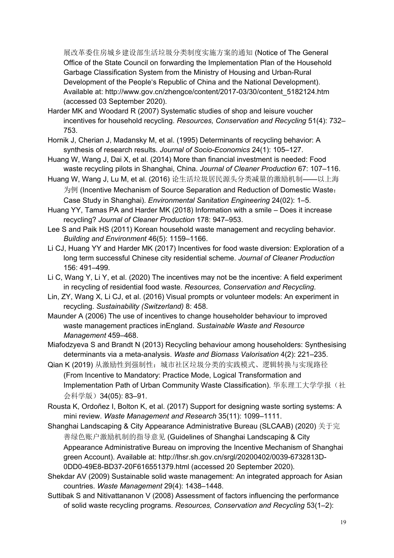展改革委住房城乡建设部生活垃圾分类制度实施方案的通知 (Notice of The General Office of the State Council on forwarding the Implementation Plan of the Household Garbage Classification System from the Ministry of Housing and Urban-Rural Development of the People's Republic of China and the National Development). Available at: http://www.gov.cn/zhengce/content/2017-03/30/content\_5182124.htm (accessed 03 September 2020).

- Harder MK and Woodard R (2007) Systematic studies of shop and leisure voucher incentives for household recycling. *Resources, Conservation and Recycling* 51(4): 732– 753.
- Hornik J, Cherian J, Madansky M, et al. (1995) Determinants of recycling behavior: A synthesis of research results. *Journal of Socio-Economics* 24(1): 105–127.
- Huang W, Wang J, Dai X, et al. (2014) More than financial investment is needed: Food waste recycling pilots in Shanghai, China. *Journal of Cleaner Production* 67: 107–116.
- Huang W, Wang J, Lu M, et al. (2016) 论生活垃圾居民源头分类减量的激励机制——以上海 为例 (Incentive Mechanism of Source Separation and Reduction of Domestic Waste: Case Study in Shanghai). *Environmental Sanitation Engineering* 24(02): 1–5.
- Huang YY, Tamas PA and Harder MK (2018) Information with a smile Does it increase recycling? *Journal of Cleaner Production* 178: 947–953.
- Lee S and Paik HS (2011) Korean household waste management and recycling behavior. *Building and Environment* 46(5): 1159–1166.
- Li CJ, Huang YY and Harder MK (2017) Incentives for food waste diversion: Exploration of a long term successful Chinese city residential scheme. *Journal of Cleaner Production* 156: 491–499.
- Li C, Wang Y, Li Y, et al. (2020) The incentives may not be the incentive: A field experiment in recycling of residential food waste. *Resources, Conservation and Recycling*.
- Lin, ZY, Wang X, Li CJ, et al. (2016) Visual prompts or volunteer models: An experiment in recycling. *Sustainability (Switzerland)* 8: 458.
- Maunder A (2006) The use of incentives to change householder behaviour to improved waste management practices inEngland. *Sustainable Waste and Resource Management* 459–468.
- Miafodzyeva S and Brandt N (2013) Recycling behaviour among householders: Synthesising determinants via a meta-analysis. *Waste and Biomass Valorisation* 4(2): 221–235.
- Qian K (2019) 从激励性到强制性: 城市社区垃圾分类的实践模式、逻辑转换与实现路径 (From Incentive to Mandatory: Practice Mode, Logical Transformation and Implementation Path of Urban Community Waste Classification). 华东理工大学学报(社 会科学版)34(05): 83–91.
- Rousta K, Ordoñez I, Bolton K, et al. (2017) Support for designing waste sorting systems: A mini review. *Waste Management and Research* 35(11): 1099–1111.
- Shanghai Landscaping & City Appearance Administrative Bureau (SLCAAB) (2020) 关于完 善绿色账户激励机制的指导意见 (Guidelines of Shanghai Landscaping & City Appearance Administrative Bureau on improving the Incentive Mechanism of Shanghai green Account). Available at: http://lhsr.sh.gov.cn/srgl/20200402/0039-6732813D-0DD0-49E8-BD37-20F616551379.html (accessed 20 September 2020).
- Shekdar AV (2009) Sustainable solid waste management: An integrated approach for Asian countries. *Waste Management* 29(4): 1438–1448.
- Suttibak S and Nitivattananon V (2008) Assessment of factors influencing the performance of solid waste recycling programs. *Resources, Conservation and Recycling* 53(1–2):